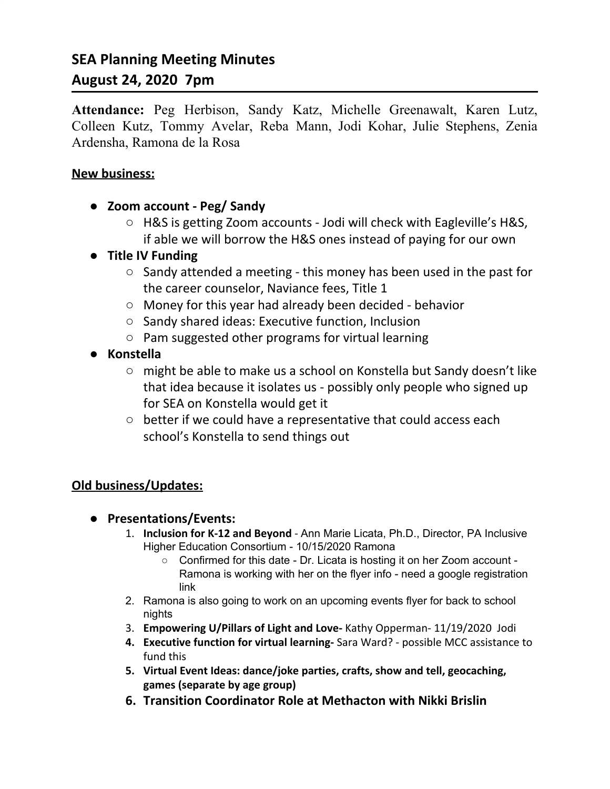# **SEA Planning Meeting Minutes August 24, 2020 7pm**

**Attendance:** Peg Herbison, Sandy Katz, Michelle Greenawalt, Karen Lutz, Colleen Kutz, Tommy Avelar, Reba Mann, Jodi Kohar, Julie Stephens, Zenia Ardensha, Ramona de la Rosa

#### **New business:**

- **Zoom account - Peg/ Sandy**
	- H&S is getting Zoom accounts Jodi will check with Eagleville's H&S, if able we will borrow the H&S ones instead of paying for our own
- **● Title IV Funding**
	- Sandy attended a meeting this money has been used in the past for the career counselor, Naviance fees, Title 1
	- Money for this year had already been decided behavior
	- Sandy shared ideas: Executive function, Inclusion
	- Pam suggested other programs for virtual learning
- **● Konstella**
	- might be able to make us a school on Konstella but Sandy doesn't like that idea because it isolates us - possibly only people who signed up for SEA on Konstella would get it
	- better if we could have a representative that could access each school's Konstella to send things out

### **Old business/Updates:**

- **● Presentations/Events:**
	- 1. **Inclusion for K-12 and Beyond** Ann Marie Licata, Ph.D., Director, PA Inclusive Higher Education Consortium - 10/15/2020 Ramona
		- Confirmed for this date Dr. Licata is hosting it on her Zoom account Ramona is working with her on the flyer info - need a google registration link
	- 2. Ramona is also going to work on an upcoming events flyer for back to school nights
	- 3. **Empowering U/Pillars of Light and Love-** Kathy Opperman- 11/19/2020 Jodi
	- **4. Executive function for virtual learning-** Sara Ward? possible MCC assistance to fund this
	- **5. Virtual Event Ideas: dance/joke parties, crafts, show and tell, geocaching, games (separate by age group)**
	- **6. Transition Coordinator Role at Methacton with Nikki Brislin**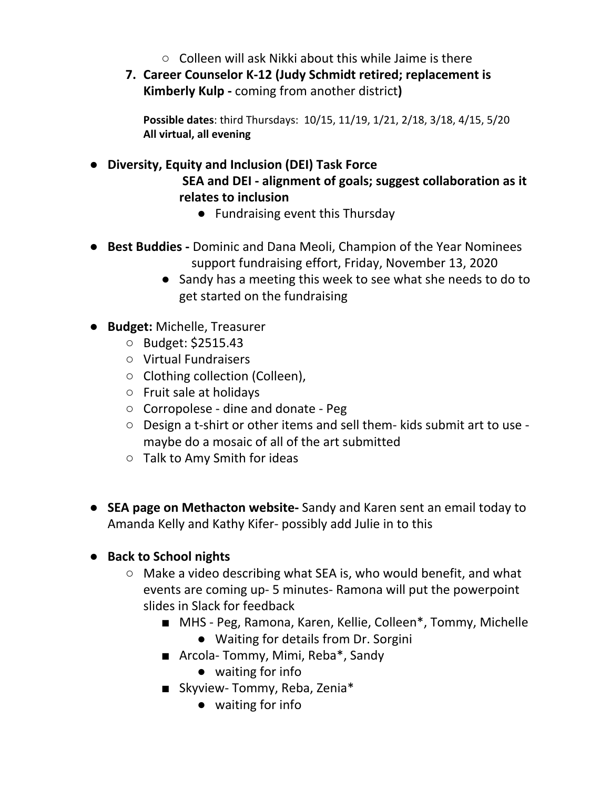- $\circ$  Colleen will ask Nikki about this while Jaime is there
- **7. Career Counselor K-12 (Judy Schmidt retired; replacement is Kimberly Kulp -** coming from another district**)**

**Possible dates**: third Thursdays: 10/15, 11/19, 1/21, 2/18, 3/18, 4/15, 5/20 **All virtual, all evening**

**● Diversity, Equity and Inclusion (DEI) Task Force SEA and DEI - alignment of goals; suggest collaboration as it relates to inclusion**

- Fundraising event this Thursday
- **Best Buddies -** Dominic and Dana Meoli, Champion of the Year Nominees support fundraising effort, Friday, November 13, 2020
	- Sandy has a meeting this week to see what she needs to do to get started on the fundraising
- **Budget:** Michelle, Treasurer
	- Budget: \$2515.43
	- Virtual Fundraisers
	- Clothing collection (Colleen),
	- Fruit sale at holidays
	- Corropolese dine and donate Peg
	- Design a t-shirt or other items and sell them- kids submit art to use maybe do a mosaic of all of the art submitted
	- Talk to Amy Smith for ideas
- **SEA page on Methacton website-** Sandy and Karen sent an email today to Amanda Kelly and Kathy Kifer- possibly add Julie in to this

# **● Back to School nights**

- Make a video describing what SEA is, who would benefit, and what events are coming up- 5 minutes- Ramona will put the powerpoint slides in Slack for feedback
	- MHS Peg, Ramona, Karen, Kellie, Colleen<sup>\*</sup>, Tommy, Michelle ● Waiting for details from Dr. Sorgini
	- Arcola- Tommy, Mimi, Reba\*, Sandy
		- waiting for info
	- Skyview- Tommy, Reba, Zenia<sup>\*</sup>
		- waiting for info